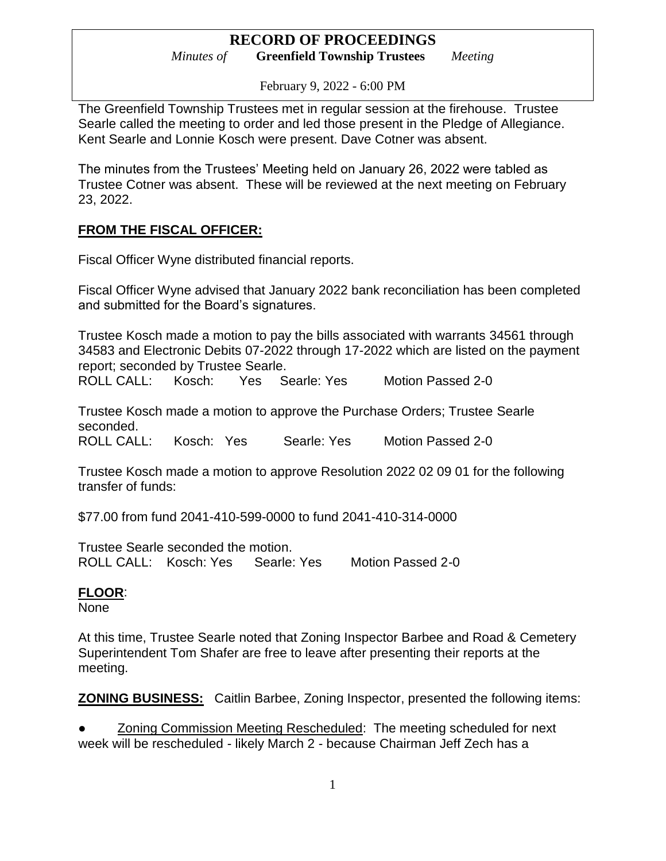February 9, 2022 - 6:00 PM

The Greenfield Township Trustees met in regular session at the firehouse. Trustee Searle called the meeting to order and led those present in the Pledge of Allegiance. Kent Searle and Lonnie Kosch were present. Dave Cotner was absent.

The minutes from the Trustees' Meeting held on January 26, 2022 were tabled as Trustee Cotner was absent. These will be reviewed at the next meeting on February 23, 2022.

## **FROM THE FISCAL OFFICER:**

Fiscal Officer Wyne distributed financial reports.

Fiscal Officer Wyne advised that January 2022 bank reconciliation has been completed and submitted for the Board's signatures.

Trustee Kosch made a motion to pay the bills associated with warrants 34561 through 34583 and Electronic Debits 07-2022 through 17-2022 which are listed on the payment report; seconded by Trustee Searle.

ROLL CALL: Kosch: Yes Searle: Yes Motion Passed 2-0

Trustee Kosch made a motion to approve the Purchase Orders; Trustee Searle seconded. ROLL CALL: Kosch: Yes Searle: Yes Motion Passed 2-0

Trustee Kosch made a motion to approve Resolution 2022 02 09 01 for the following transfer of funds:

\$77.00 from fund 2041-410-599-0000 to fund 2041-410-314-0000

Trustee Searle seconded the motion. ROLL CALL: Kosch: Yes Searle: Yes Motion Passed 2-0

# **FLOOR**:

None

At this time, Trustee Searle noted that Zoning Inspector Barbee and Road & Cemetery Superintendent Tom Shafer are free to leave after presenting their reports at the meeting.

**ZONING BUSINESS:** Caitlin Barbee, Zoning Inspector, presented the following items:

**Zoning Commission Meeting Rescheduled: The meeting scheduled for next** week will be rescheduled - likely March 2 - because Chairman Jeff Zech has a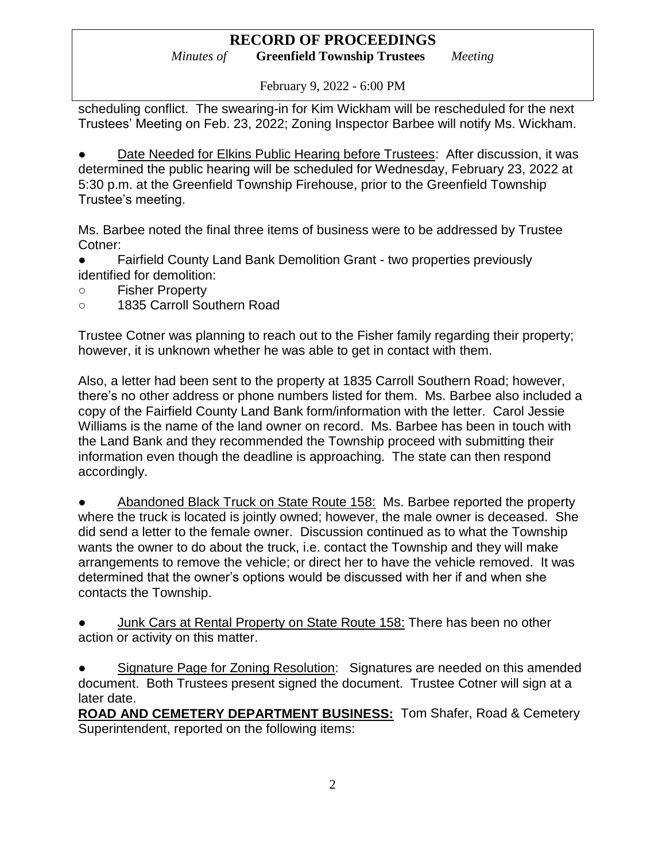February 9, 2022 - 6:00 PM

scheduling conflict. The swearing-in for Kim Wickham will be rescheduled for the next Trustees' Meeting on Feb. 23, 2022; Zoning Inspector Barbee will notify Ms. Wickham.

Date Needed for Elkins Public Hearing before Trustees: After discussion, it was determined the public hearing will be scheduled for Wednesday, February 23, 2022 at 5:30 p.m. at the Greenfield Township Firehouse, prior to the Greenfield Township Trustee's meeting.

Ms. Barbee noted the final three items of business were to be addressed by Trustee Cotner:

● Fairfield County Land Bank Demolition Grant - two properties previously identified for demolition:

- Fisher Property
- 1835 Carroll Southern Road

Trustee Cotner was planning to reach out to the Fisher family regarding their property; however, it is unknown whether he was able to get in contact with them.

Also, a letter had been sent to the property at 1835 Carroll Southern Road; however, there's no other address or phone numbers listed for them. Ms. Barbee also included a copy of the Fairfield County Land Bank form/information with the letter. Carol Jessie Williams is the name of the land owner on record. Ms. Barbee has been in touch with the Land Bank and they recommended the Township proceed with submitting their information even though the deadline is approaching. The state can then respond accordingly.

Abandoned Black Truck on State Route 158: Ms. Barbee reported the property where the truck is located is jointly owned; however, the male owner is deceased. She did send a letter to the female owner. Discussion continued as to what the Township wants the owner to do about the truck, i.e. contact the Township and they will make arrangements to remove the vehicle; or direct her to have the vehicle removed. It was determined that the owner's options would be discussed with her if and when she contacts the Township.

Junk Cars at Rental Property on State Route 158: There has been no other action or activity on this matter.

Signature Page for Zoning Resolution: Signatures are needed on this amended document. Both Trustees present signed the document. Trustee Cotner will sign at a later date.

**ROAD AND CEMETERY DEPARTMENT BUSINESS:** Tom Shafer, Road & Cemetery Superintendent, reported on the following items: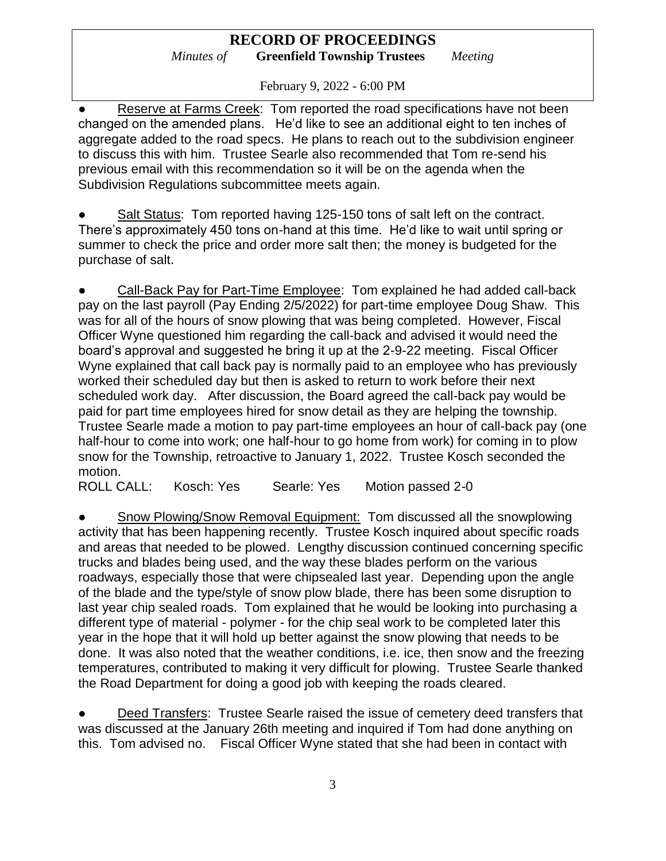February 9, 2022 - 6:00 PM

Reserve at Farms Creek: Tom reported the road specifications have not been changed on the amended plans. He'd like to see an additional eight to ten inches of aggregate added to the road specs. He plans to reach out to the subdivision engineer to discuss this with him. Trustee Searle also recommended that Tom re-send his previous email with this recommendation so it will be on the agenda when the Subdivision Regulations subcommittee meets again.

Salt Status: Tom reported having 125-150 tons of salt left on the contract. There's approximately 450 tons on-hand at this time. He'd like to wait until spring or summer to check the price and order more salt then; the money is budgeted for the purchase of salt.

Call-Back Pay for Part-Time Employee: Tom explained he had added call-back pay on the last payroll (Pay Ending 2/5/2022) for part-time employee Doug Shaw. This was for all of the hours of snow plowing that was being completed. However, Fiscal Officer Wyne questioned him regarding the call-back and advised it would need the board's approval and suggested he bring it up at the 2-9-22 meeting. Fiscal Officer Wyne explained that call back pay is normally paid to an employee who has previously worked their scheduled day but then is asked to return to work before their next scheduled work day. After discussion, the Board agreed the call-back pay would be paid for part time employees hired for snow detail as they are helping the township. Trustee Searle made a motion to pay part-time employees an hour of call-back pay (one half-hour to come into work; one half-hour to go home from work) for coming in to plow snow for the Township, retroactive to January 1, 2022. Trustee Kosch seconded the motion.

ROLL CALL: Kosch: Yes Searle: Yes Motion passed 2-0

Snow Plowing/Snow Removal Equipment: Tom discussed all the snowplowing activity that has been happening recently. Trustee Kosch inquired about specific roads and areas that needed to be plowed. Lengthy discussion continued concerning specific trucks and blades being used, and the way these blades perform on the various roadways, especially those that were chipsealed last year. Depending upon the angle of the blade and the type/style of snow plow blade, there has been some disruption to last year chip sealed roads. Tom explained that he would be looking into purchasing a different type of material - polymer - for the chip seal work to be completed later this year in the hope that it will hold up better against the snow plowing that needs to be done. It was also noted that the weather conditions, i.e. ice, then snow and the freezing temperatures, contributed to making it very difficult for plowing. Trustee Searle thanked the Road Department for doing a good job with keeping the roads cleared.

Deed Transfers: Trustee Searle raised the issue of cemetery deed transfers that was discussed at the January 26th meeting and inquired if Tom had done anything on this. Tom advised no. Fiscal Officer Wyne stated that she had been in contact with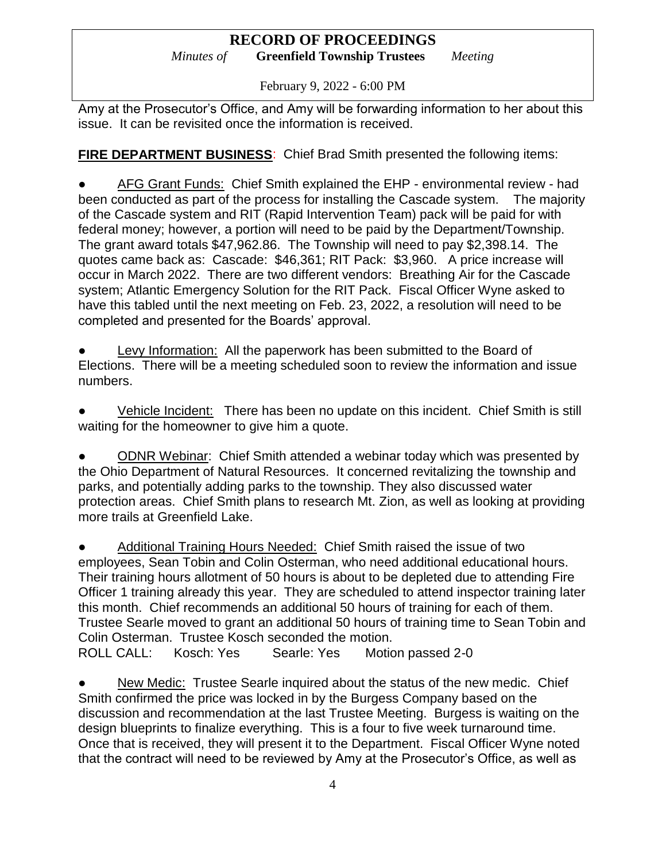# **RECORD OF PROCEEDINGS**

*Minutes of* **Greenfield Township Trustees** *Meeting*

February 9, 2022 - 6:00 PM

Amy at the Prosecutor's Office, and Amy will be forwarding information to her about this issue. It can be revisited once the information is received.

**FIRE DEPARTMENT BUSINESS:** Chief Brad Smith presented the following items:

● AFG Grant Funds: Chief Smith explained the EHP - environmental review - had been conducted as part of the process for installing the Cascade system. The majority of the Cascade system and RIT (Rapid Intervention Team) pack will be paid for with federal money; however, a portion will need to be paid by the Department/Township. The grant award totals \$47,962.86. The Township will need to pay \$2,398.14. The quotes came back as: Cascade: \$46,361; RIT Pack: \$3,960. A price increase will occur in March 2022. There are two different vendors: Breathing Air for the Cascade system; Atlantic Emergency Solution for the RIT Pack. Fiscal Officer Wyne asked to have this tabled until the next meeting on Feb. 23, 2022, a resolution will need to be completed and presented for the Boards' approval.

Levy Information: All the paperwork has been submitted to the Board of Elections. There will be a meeting scheduled soon to review the information and issue numbers.

Vehicle Incident: There has been no update on this incident. Chief Smith is still waiting for the homeowner to give him a quote.

ODNR Webinar: Chief Smith attended a webinar today which was presented by the Ohio Department of Natural Resources. It concerned revitalizing the township and parks, and potentially adding parks to the township. They also discussed water protection areas. Chief Smith plans to research Mt. Zion, as well as looking at providing more trails at Greenfield Lake.

Additional Training Hours Needed: Chief Smith raised the issue of two employees, Sean Tobin and Colin Osterman, who need additional educational hours. Their training hours allotment of 50 hours is about to be depleted due to attending Fire Officer 1 training already this year. They are scheduled to attend inspector training later this month. Chief recommends an additional 50 hours of training for each of them. Trustee Searle moved to grant an additional 50 hours of training time to Sean Tobin and Colin Osterman. Trustee Kosch seconded the motion. ROLL CALL: Kosch: Yes Searle: Yes Motion passed 2-0

New Medic: Trustee Searle inquired about the status of the new medic. Chief Smith confirmed the price was locked in by the Burgess Company based on the discussion and recommendation at the last Trustee Meeting. Burgess is waiting on the design blueprints to finalize everything. This is a four to five week turnaround time. Once that is received, they will present it to the Department. Fiscal Officer Wyne noted that the contract will need to be reviewed by Amy at the Prosecutor's Office, as well as